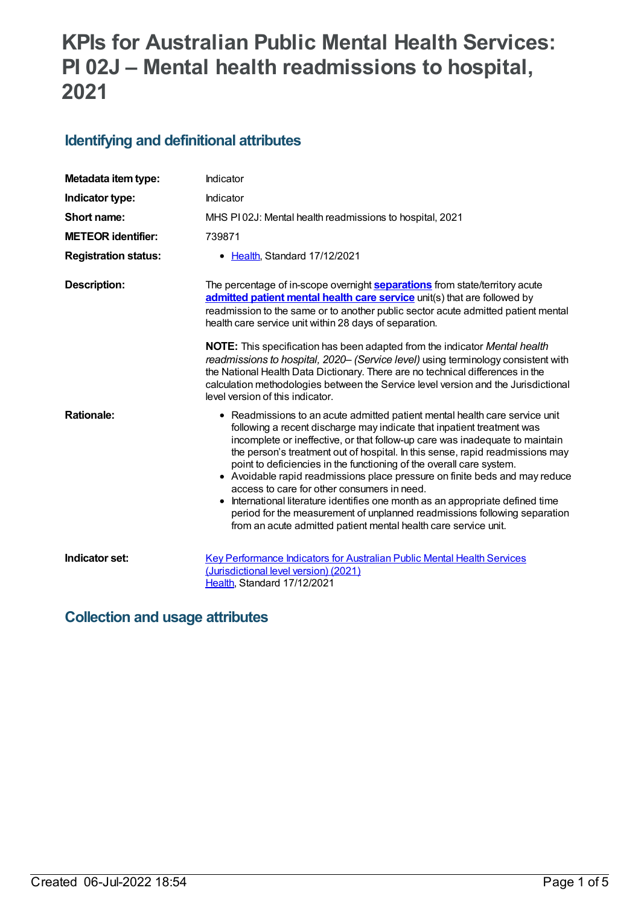# **KPIs for Australian Public Mental Health Services: PI 02J – Mental health readmissions to hospital, 2021**

## **Identifying and definitional attributes**

| Metadata item type:         | Indicator                                                                                                                                                                                                                                                                                                                                                                                                                                                                                                                                                                                                                                                                                                                                                    |
|-----------------------------|--------------------------------------------------------------------------------------------------------------------------------------------------------------------------------------------------------------------------------------------------------------------------------------------------------------------------------------------------------------------------------------------------------------------------------------------------------------------------------------------------------------------------------------------------------------------------------------------------------------------------------------------------------------------------------------------------------------------------------------------------------------|
| Indicator type:             | Indicator                                                                                                                                                                                                                                                                                                                                                                                                                                                                                                                                                                                                                                                                                                                                                    |
| Short name:                 | MHS PI02J: Mental health readmissions to hospital, 2021                                                                                                                                                                                                                                                                                                                                                                                                                                                                                                                                                                                                                                                                                                      |
| <b>METEOR identifier:</b>   | 739871                                                                                                                                                                                                                                                                                                                                                                                                                                                                                                                                                                                                                                                                                                                                                       |
| <b>Registration status:</b> | • Health, Standard 17/12/2021                                                                                                                                                                                                                                                                                                                                                                                                                                                                                                                                                                                                                                                                                                                                |
| <b>Description:</b>         | The percentage of in-scope overnight <b>separations</b> from state/territory acute<br>admitted patient mental health care service unit(s) that are followed by<br>readmission to the same or to another public sector acute admitted patient mental<br>health care service unit within 28 days of separation.                                                                                                                                                                                                                                                                                                                                                                                                                                                |
|                             | <b>NOTE:</b> This specification has been adapted from the indicator Mental health<br>readmissions to hospital, 2020– (Service level) using terminology consistent with<br>the National Health Data Dictionary. There are no technical differences in the<br>calculation methodologies between the Service level version and the Jurisdictional<br>level version of this indicator.                                                                                                                                                                                                                                                                                                                                                                           |
| <b>Rationale:</b>           | • Readmissions to an acute admitted patient mental health care service unit<br>following a recent discharge may indicate that inpatient treatment was<br>incomplete or ineffective, or that follow-up care was inadequate to maintain<br>the person's treatment out of hospital. In this sense, rapid readmissions may<br>point to deficiencies in the functioning of the overall care system.<br>• Avoidable rapid readmissions place pressure on finite beds and may reduce<br>access to care for other consumers in need.<br>International literature identifies one month as an appropriate defined time<br>period for the measurement of unplanned readmissions following separation<br>from an acute admitted patient mental health care service unit. |
| Indicator set:              | <b>Key Performance Indicators for Australian Public Mental Health Services</b><br>(Jurisdictional level version) (2021)<br>Health, Standard 17/12/2021                                                                                                                                                                                                                                                                                                                                                                                                                                                                                                                                                                                                       |

## **Collection and usage attributes**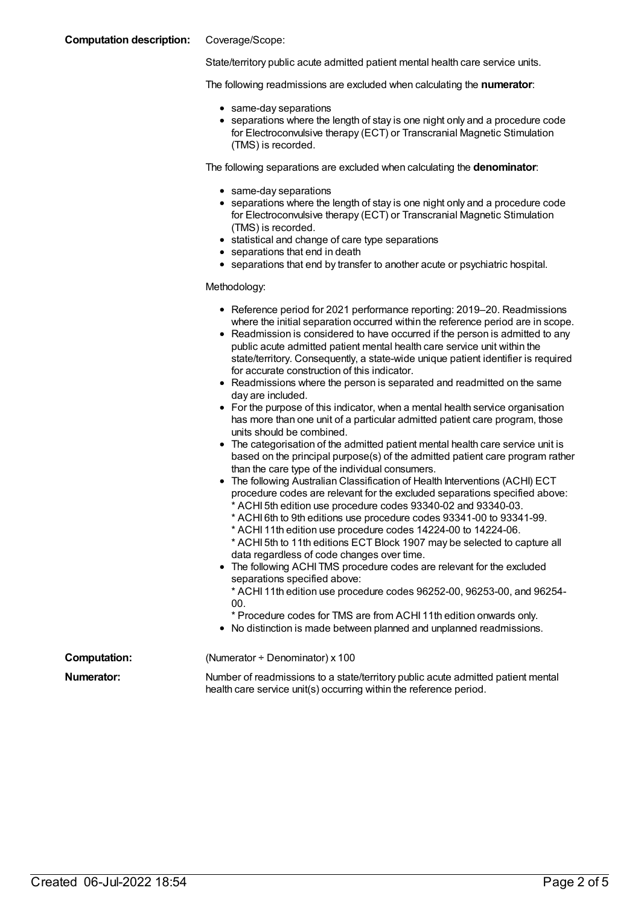#### **Computation description:** Coverage/Scope:

State/territory public acute admitted patient mental health care service units.

The following readmissions are excluded when calculating the **numerator**:

- same-day separations
- separations where the length of stay is one night only and a procedure code for Electroconvulsive therapy (ECT) or Transcranial Magnetic Stimulation (TMS) is recorded.

The following separations are excluded when calculating the **denominator**:

- same-day separations
- separations where the length of stay is one night only and a procedure code for Electroconvulsive therapy (ECT) or Transcranial Magnetic Stimulation (TMS) is recorded.
- statistical and change of care type separations
- separations that end in death
- separations that end by transfer to another acute or psychiatric hospital.

Methodology:

- Reference period for 2021 performance reporting: 2019–20. Readmissions where the initial separation occurred within the reference period are in scope.
- Readmission is considered to have occurred if the person is admitted to any public acute admitted patient mental health care service unit within the state/territory. Consequently, a state-wide unique patient identifier is required for accurate construction of this indicator.
- Readmissions where the person is separated and readmitted on the same day are included.
- For the purpose of this indicator, when a mental health service organisation has more than one unit of a particular admitted patient care program, those units should be combined.
- The categorisation of the admitted patient mental health care service unit is based on the principal purpose(s) of the admitted patient care program rather than the care type of the individual consumers.
- The following Australian Classification of Health Interventions (ACHI) ECT procedure codes are relevant for the excluded separations specified above: ACHI 5th edition use procedure codes 93340-02 and 93340-03.
	- \* ACHI 6th to 9th editions use procedure codes 93341-00 to 93341-99.
	- \* ACHI 11th edition use procedure codes 14224-00 to 14224-06.
	- \* ACHI 5th to 11th editions ECT Block 1907 may be selected to capture all data regardless of code changes over time.
- The following ACHI TMS procedure codes are relevant for the excluded separations specified above:
	- \* ACHI 11th edition use procedure codes 96252-00, 96253-00, and 96254- 00.

\* Procedure codes for TMS are from ACHI 11th edition onwards only.

No distinction is made between planned and unplanned readmissions.

**Computation:** (Numerator ÷ Denominator) x 100 **Numerator:** Number of readmissions to a state/territory public acute admitted patient mental health care service unit(s) occurring within the reference period.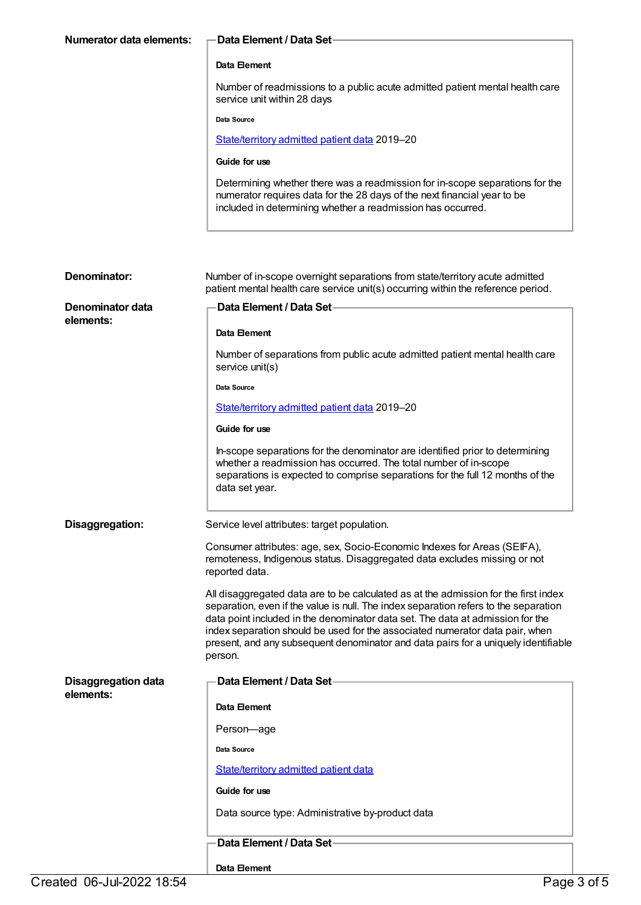| Numerator data elements:   | Data Element / Data Set                                                                                                                                                                                                                                                                                                                                                                                                                        |
|----------------------------|------------------------------------------------------------------------------------------------------------------------------------------------------------------------------------------------------------------------------------------------------------------------------------------------------------------------------------------------------------------------------------------------------------------------------------------------|
|                            | Data Element                                                                                                                                                                                                                                                                                                                                                                                                                                   |
|                            | Number of readmissions to a public acute admitted patient mental health care<br>service unit within 28 days                                                                                                                                                                                                                                                                                                                                    |
|                            | Data Source                                                                                                                                                                                                                                                                                                                                                                                                                                    |
|                            | State/territory admitted patient data 2019-20                                                                                                                                                                                                                                                                                                                                                                                                  |
|                            | Guide for use                                                                                                                                                                                                                                                                                                                                                                                                                                  |
|                            | Determining whether there was a readmission for in-scope separations for the<br>numerator requires data for the 28 days of the next financial year to be<br>included in determining whether a readmission has occurred.                                                                                                                                                                                                                        |
|                            |                                                                                                                                                                                                                                                                                                                                                                                                                                                |
| Denominator:               | Number of in-scope overnight separations from state/territory acute admitted<br>patient mental health care service unit(s) occurring within the reference period.                                                                                                                                                                                                                                                                              |
| Denominator data           | Data Element / Data Set-                                                                                                                                                                                                                                                                                                                                                                                                                       |
| elements:                  | Data Element                                                                                                                                                                                                                                                                                                                                                                                                                                   |
|                            | Number of separations from public acute admitted patient mental health care<br>service unit(s)                                                                                                                                                                                                                                                                                                                                                 |
|                            | Data Source                                                                                                                                                                                                                                                                                                                                                                                                                                    |
|                            | State/territory admitted patient data 2019-20                                                                                                                                                                                                                                                                                                                                                                                                  |
|                            | Guide for use                                                                                                                                                                                                                                                                                                                                                                                                                                  |
|                            | In-scope separations for the denominator are identified prior to determining<br>whether a readmission has occurred. The total number of in-scope<br>separations is expected to comprise separations for the full 12 months of the<br>data set year.                                                                                                                                                                                            |
| Disaggregation:            | Service level attributes: target population.                                                                                                                                                                                                                                                                                                                                                                                                   |
|                            | Consumer attributes: age, sex, Socio-Economic Indexes for Areas (SEIFA),<br>remoteness, Indigenous status. Disaggregated data excludes missing or not<br>reported data.                                                                                                                                                                                                                                                                        |
|                            | All disaggregated data are to be calculated as at the admission for the first index<br>separation, even if the value is null. The index separation refers to the separation<br>data point included in the denominator data set. The data at admission for the<br>index separation should be used for the associated numerator data pair, when<br>present, and any subsequent denominator and data pairs for a uniquely identifiable<br>person. |
| <b>Disaggregation data</b> | Data Element / Data Set-                                                                                                                                                                                                                                                                                                                                                                                                                       |
| elements:                  | Data Element                                                                                                                                                                                                                                                                                                                                                                                                                                   |
|                            | Person-age                                                                                                                                                                                                                                                                                                                                                                                                                                     |
|                            | Data Source                                                                                                                                                                                                                                                                                                                                                                                                                                    |

[State/territory](file:///content/426458) admitted patient data

**Guide for use**

Data source type: Administrative by-product data

**Data Element / Data Set**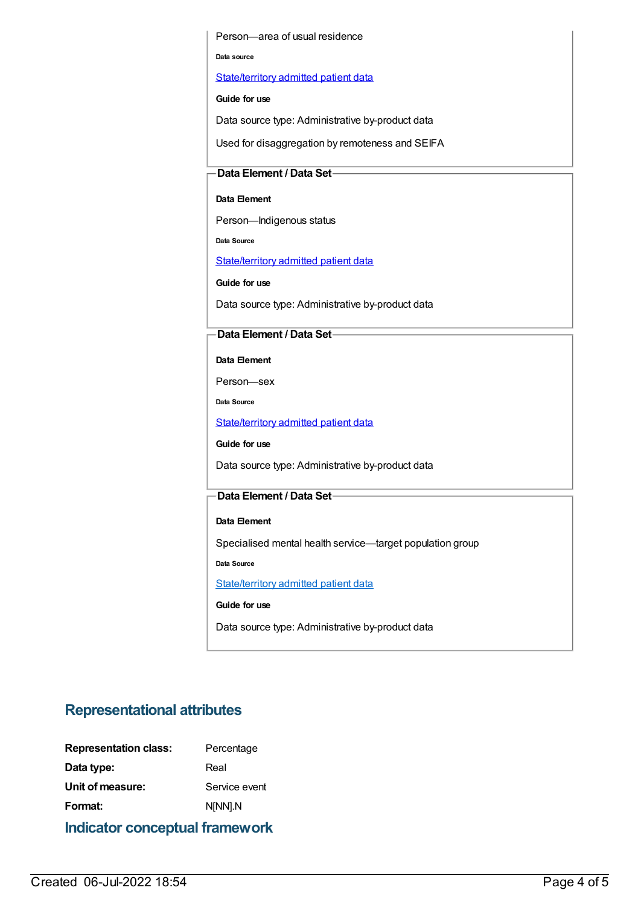Person—area of usual residence

**Data source**

[State/territory](file:///content/426458) admitted patient data

**Guide for use**

Data source type: Administrative by-product data

Used for disaggregation by remoteness and SEIFA

#### **Data Element / Data Set**

#### **Data Element**

Person—Indigenous status

**Data Source**

[State/territory](file:///content/426458) admitted patient data

**Guide for use**

Data source type: Administrative by-product data

#### **Data Element / Data Set**

**Data Element**

Person—sex

**Data Source**

[State/territory](file:///content/426458) admitted patient data

**Guide for use**

Data source type: Administrative by-product data

#### **Data Element / Data Set**

#### **Data Element**

Specialised mental health service—target population group

**Data Source**

[State/territory](file:///content/426458) admitted patient data

**Guide for use**

Data source type: Administrative by-product data

### **Representational attributes**

| <b>Representation class:</b> | Percentage    |
|------------------------------|---------------|
| Data type:                   | Real          |
| Unit of measure:             | Service event |
| Format:                      | N[NN].N       |
|                              |               |

**Indicator conceptual framework**